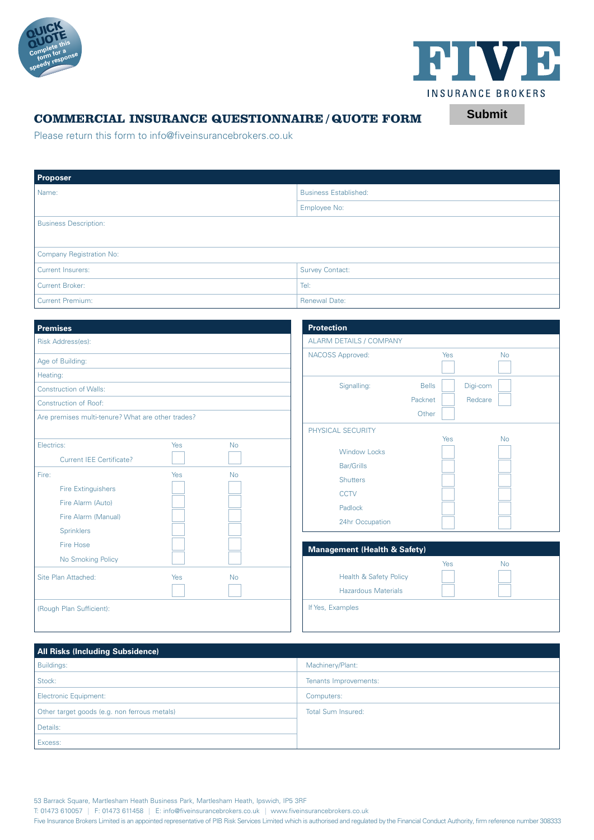



**Submit**

## **COMMERCIAL INSURANCE QUESTIONNAIRE / QUOTE FORM**

Please return this form to info@fiveinsurancebrokers.co.uk

| <b>Proposer</b>              |                              |  |  |  |
|------------------------------|------------------------------|--|--|--|
| Name:                        | <b>Business Established:</b> |  |  |  |
|                              | Employee No:                 |  |  |  |
| <b>Business Description:</b> |                              |  |  |  |
|                              |                              |  |  |  |
| Company Registration No:     |                              |  |  |  |
| Current Insurers:            | <b>Survey Contact:</b>       |  |  |  |
| Current Broker:              | Tel:                         |  |  |  |
| Current Premium:             | <b>Renewal Date:</b>         |  |  |  |

| <b>Premises</b>                                   |     |           | <b>Protection</b>                                               |              |     |           |
|---------------------------------------------------|-----|-----------|-----------------------------------------------------------------|--------------|-----|-----------|
| Risk Address(es):                                 |     |           | <b>ALARM DETAILS / COMPANY</b>                                  |              |     |           |
| Age of Building:                                  |     |           | NACOSS Approved:                                                |              | Yes | <b>No</b> |
| Heating:                                          |     |           |                                                                 |              |     |           |
| <b>Construction of Walls:</b>                     |     |           | Signalling:                                                     | <b>Bells</b> |     | Digi-com  |
| <b>Construction of Roof:</b>                      |     |           |                                                                 | Packnet      |     | Redcare   |
| Are premises multi-tenure? What are other trades? |     |           |                                                                 | Other        |     |           |
|                                                   |     |           | PHYSICAL SECURITY                                               |              | Yes | <b>No</b> |
| Electrics:<br><b>Current IEE Certificate?</b>     | Yes | <b>No</b> | <b>Window Locks</b><br><b>Bar/Grills</b>                        |              |     |           |
| Fire:<br><b>Fire Extinguishers</b>                | Yes | <b>No</b> | Shutters                                                        |              |     |           |
| Fire Alarm (Auto)                                 |     |           | <b>CCTV</b><br>Padlock                                          |              |     |           |
| Fire Alarm (Manual)<br>Sprinklers                 |     |           | 24hr Occupation                                                 |              |     |           |
| Fire Hose                                         |     |           | <b>Management (Health &amp; Safety)</b>                         |              |     |           |
| No Smoking Policy                                 |     |           |                                                                 |              | Yes | <b>No</b> |
| Site Plan Attached:                               | Yes | <b>No</b> | <b>Health &amp; Safety Policy</b><br><b>Hazardous Materials</b> |              |     |           |
| (Rough Plan Sufficient):                          |     |           | If Yes, Examples                                                |              |     |           |

| <b>All Risks (Including Subsidence)</b>      |                           |
|----------------------------------------------|---------------------------|
| Buildings:                                   | Machinery/Plant:          |
| Stock:                                       | Tenants Improvements:     |
| Electronic Equipment:                        | Computers:                |
| Other target goods (e.g. non ferrous metals) | <b>Total Sum Insured:</b> |
| Details:                                     |                           |
| Excess:                                      |                           |